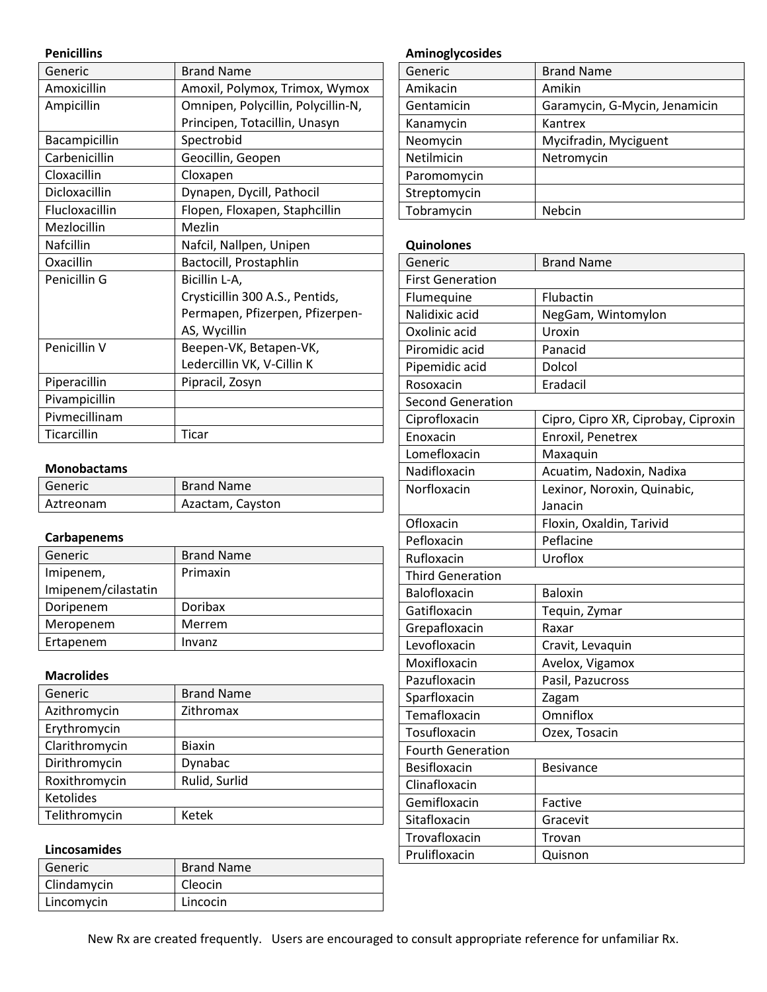### **Penicillins**

| Generic          | <b>Brand Name</b>                  |
|------------------|------------------------------------|
| Amoxicillin      | Amoxil, Polymox, Trimox, Wymox     |
| Ampicillin       | Omnipen, Polycillin, Polycillin-N, |
|                  | Principen, Totacillin, Unasyn      |
| Bacampicillin    | Spectrobid                         |
| Carbenicillin    | Geocillin, Geopen                  |
| Cloxacillin      | Cloxapen                           |
| Dicloxacillin    | Dynapen, Dycill, Pathocil          |
| Flucloxacillin   | Flopen, Floxapen, Staphcillin      |
| Mezlocillin      | Mezlin                             |
| <b>Nafcillin</b> | Nafcil, Nallpen, Unipen            |
| Oxacillin        | Bactocill, Prostaphlin             |
| Penicillin G     | Bicillin L-A,                      |
|                  | Crysticillin 300 A.S., Pentids,    |
|                  | Permapen, Pfizerpen, Pfizerpen-    |
|                  | AS, Wycillin                       |
| Penicillin V     | Beepen-VK, Betapen-VK,             |
|                  | Ledercillin VK, V-Cillin K         |
| Piperacillin     | Pipracil, Zosyn                    |
| Pivampicillin    |                                    |
| Pivmecillinam    |                                    |
| Ticarcillin      | Ticar                              |

## **Monobactams**

| Generic   | <b>Brand Name</b> |
|-----------|-------------------|
| Aztreonam | Azactam, Cayston  |

# **Carbapenems**

| Generic             | <b>Brand Name</b> |
|---------------------|-------------------|
| Imipenem,           | Primaxin          |
| Imipenem/cilastatin |                   |
| Doripenem           | Doribax           |
| Meropenem           | Merrem            |
| Ertapenem           | Invanz            |

## **Macrolides**

| Generic          | <b>Brand Name</b> |
|------------------|-------------------|
| Azithromycin     | Zithromax         |
| Erythromycin     |                   |
| Clarithromycin   | <b>Biaxin</b>     |
| Dirithromycin    | Dynabac           |
| Roxithromycin    | Rulid, Surlid     |
| <b>Ketolides</b> |                   |
| Telithromycin    | Ketek             |

## **Lincosamides**

| Generic     | <b>Brand Name</b> |
|-------------|-------------------|
| Clindamycin | Cleocin           |
| Lincomycin  | Lincocin          |

# **Aminoglycosides**

| Generic      | <b>Brand Name</b>             |
|--------------|-------------------------------|
| Amikacin     | Amikin                        |
| Gentamicin   | Garamycin, G-Mycin, Jenamicin |
| Kanamycin    | Kantrex                       |
| Neomycin     | Mycifradin, Myciguent         |
| Netilmicin   | Netromycin                    |
| Paromomycin  |                               |
| Streptomycin |                               |
| Tobramycin   | Nebcin                        |

#### **Quinolones**

| Generic                  | <b>Brand Name</b>                   |  |
|--------------------------|-------------------------------------|--|
| <b>First Generation</b>  |                                     |  |
| Flumequine               | Flubactin                           |  |
| Nalidixic acid           | NegGam, Wintomylon                  |  |
| Oxolinic acid            | Uroxin                              |  |
| Piromidic acid           | Panacid                             |  |
| Pipemidic acid           | Dolcol                              |  |
| Rosoxacin                | Eradacil                            |  |
| <b>Second Generation</b> |                                     |  |
| Ciprofloxacin            | Cipro, Cipro XR, Ciprobay, Ciproxin |  |
| Enoxacin                 | Enroxil, Penetrex                   |  |
| Lomefloxacin             | Maxaquin                            |  |
| Nadifloxacin             | Acuatim, Nadoxin, Nadixa            |  |
| Norfloxacin              | Lexinor, Noroxin, Quinabic,         |  |
|                          | Janacin                             |  |
| Ofloxacin                | Floxin, Oxaldin, Tarivid            |  |
| Pefloxacin               | Peflacine                           |  |
| Rufloxacin               | Uroflox                             |  |
| <b>Third Generation</b>  |                                     |  |
| Balofloxacin             | <b>Baloxin</b>                      |  |
| Gatifloxacin             | Tequin, Zymar                       |  |
| Grepafloxacin            | Raxar                               |  |
| Levofloxacin             | Cravit, Levaquin                    |  |
| Moxifloxacin             | Avelox, Vigamox                     |  |
| Pazufloxacin             | Pasil, Pazucross                    |  |
| Sparfloxacin             | Zagam                               |  |
| Temafloxacin             | Omniflox                            |  |
| Tosufloxacin             | Ozex, Tosacin                       |  |
| <b>Fourth Generation</b> |                                     |  |
| Besifloxacin             | <b>Besivance</b>                    |  |
| Clinafloxacin            |                                     |  |
| Gemifloxacin             | Factive                             |  |
| Sitafloxacin             | Gracevit                            |  |
| Trovafloxacin            | Trovan                              |  |
| Prulifloxacin            | Quisnon                             |  |
|                          |                                     |  |

New Rx are created frequently. Users are encouraged to consult appropriate reference for unfamiliar Rx.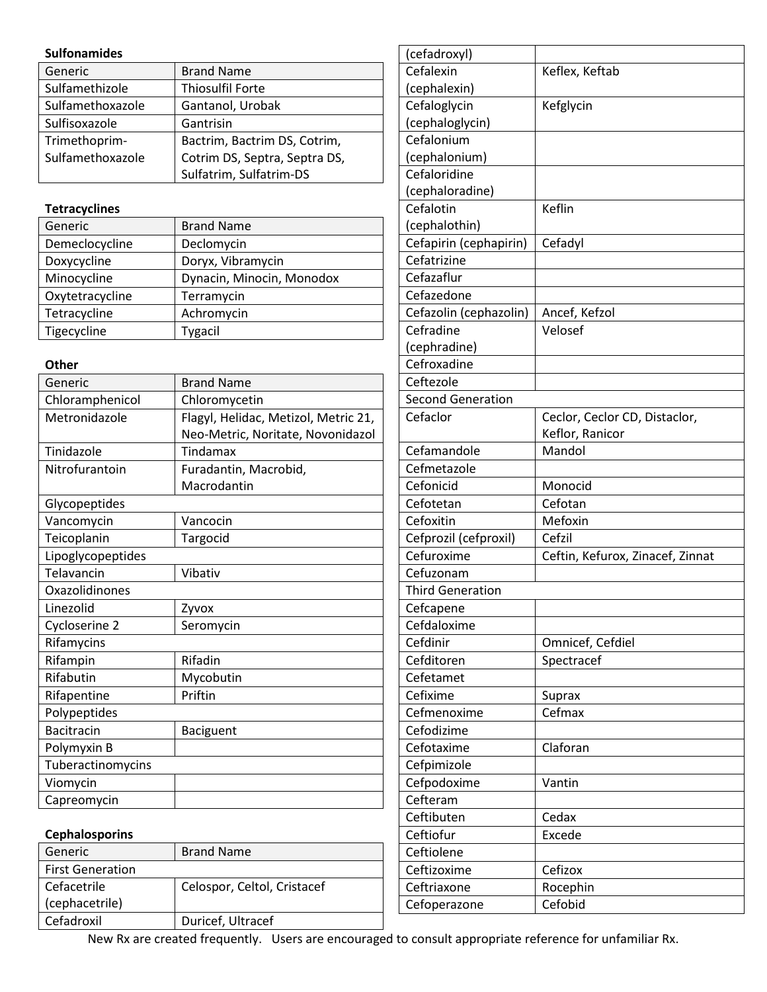#### **Sulfonamides**

| Generic          | <b>Brand Name</b>             |
|------------------|-------------------------------|
| Sulfamethizole   | <b>Thiosulfil Forte</b>       |
| Sulfamethoxazole | Gantanol, Urobak              |
| Sulfisoxazole    | Gantrisin                     |
| Trimethoprim-    | Bactrim, Bactrim DS, Cotrim,  |
| Sulfamethoxazole | Cotrim DS, Septra, Septra DS, |
|                  | Sulfatrim, Sulfatrim-DS       |

### **Tetracyclines**

| Generic         | <b>Brand Name</b>         |
|-----------------|---------------------------|
| Demeclocycline  | Declomycin                |
| Doxycycline     | Doryx, Vibramycin         |
| Minocycline     | Dynacin, Minocin, Monodox |
| Oxytetracycline | Terramycin                |
| Tetracycline    | Achromycin                |
| Tigecycline     | <b>Tygacil</b>            |

#### **Other**

| Generic           | <b>Brand Name</b>                    |  |
|-------------------|--------------------------------------|--|
| Chloramphenicol   | Chloromycetin                        |  |
| Metronidazole     | Flagyl, Helidac, Metizol, Metric 21, |  |
|                   | Neo-Metric, Noritate, Novonidazol    |  |
| Tinidazole        | Tindamax                             |  |
| Nitrofurantoin    | Furadantin, Macrobid,                |  |
|                   | Macrodantin                          |  |
| Glycopeptides     |                                      |  |
| Vancomycin        | Vancocin                             |  |
| Teicoplanin       | Targocid                             |  |
| Lipoglycopeptides |                                      |  |
| Telavancin        | Vibativ                              |  |
| Oxazolidinones    |                                      |  |
| Linezolid         | Zyvox                                |  |
| Cycloserine 2     | Seromycin                            |  |
| Rifamycins        |                                      |  |
| Rifampin          | Rifadin                              |  |
| Rifabutin         | Mycobutin                            |  |
| Rifapentine       | Priftin                              |  |
| Polypeptides      |                                      |  |
| <b>Bacitracin</b> | Baciguent                            |  |
| Polymyxin B       |                                      |  |
| Tuberactinomycins |                                      |  |
| Viomycin          |                                      |  |
| Capreomycin       |                                      |  |

|          | Cefroxadine              |                                                  |
|----------|--------------------------|--------------------------------------------------|
|          | Ceftezole                |                                                  |
|          | <b>Second Generation</b> |                                                  |
| L,<br>اد | Cefaclor                 | Ceclor, Ceclor CD, Distaclor,<br>Keflor, Ranicor |
|          | Cefamandole              | Mandol                                           |
|          | Cefmetazole              |                                                  |
|          | Cefonicid                | Monocid                                          |
|          | Cefotetan                | Cefotan                                          |
|          | Cefoxitin                | Mefoxin                                          |
|          | Cefprozil (cefproxil)    | Cefzil                                           |
|          | Cefuroxime               | Ceftin, Kefurox, Zinacef, Zinnat                 |
|          | Cefuzonam                |                                                  |
|          | <b>Third Generation</b>  |                                                  |
|          | Cefcapene                |                                                  |
|          | Cefdaloxime              |                                                  |
|          | Cefdinir                 | Omnicef, Cefdiel                                 |
|          | Cefditoren               | Spectracef                                       |
|          | Cefetamet                |                                                  |
|          | Cefixime                 | Suprax                                           |
|          | Cefmenoxime              | Cefmax                                           |
|          | Cefodizime               |                                                  |
|          | Cefotaxime               | Claforan                                         |
|          | Cefpimizole              |                                                  |
|          | Cefpodoxime              | Vantin                                           |
|          | Cefteram                 |                                                  |
|          | Ceftibuten               | Cedax                                            |
|          | Ceftiofur                | Excede                                           |

(cefadroxyl) Cefalexin (cephalexin)

**Cefaloglycin** (cephaloglycin)

Cefalonium (cephalonium) Cefaloridine (cephaloradine)

**Cefalotin** (cephalothin)

Cefatrizine Cefazaflur Cefazedone

Cefradine (cephradine) Keflex, Keftab

Kefglycin

Keflin

Velosef

Cefapirin (cephapirin) Cefadyl

Cefazolin (cephazolin) | Ancef, Kefzol

### **Cephalosporins**

| Generic                 | <b>Brand Name</b>           |
|-------------------------|-----------------------------|
| <b>First Generation</b> |                             |
| Cefacetrile             | Celospor, Celtol, Cristacef |
| (cephacetrile)          |                             |
| Cefadroxil              | Duricef, Ultracef           |

New Rx are created frequently. Users are encouraged to consult appropriate reference for unfamiliar Rx.

Ceftiolene

Ceftizoxime Cefizox Ceftriaxone | Rocephin Cefoperazone | Cefobid